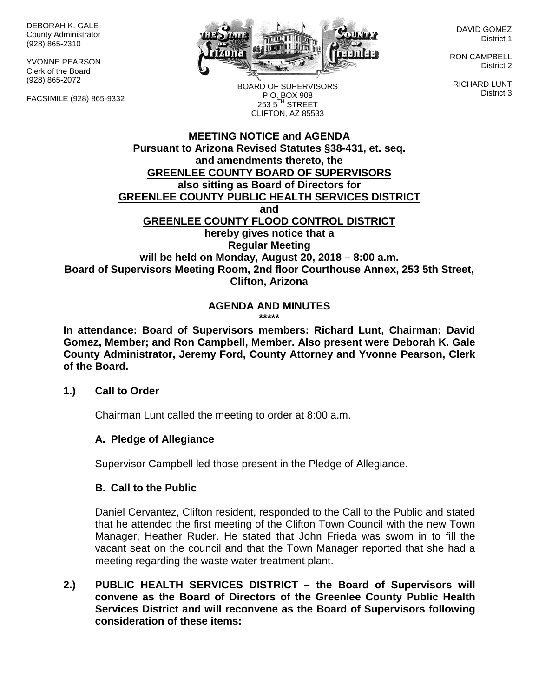DEBORAH K. GALE County Administrator (928) 865-2310

YVONNE PEARSON Clerk of the Board (928) 865-2072

FACSIMILE (928) 865-9332



DAVID GOMEZ District 1

RON CAMPBELL District 2

RICHARD LUNT District 3

BOARD OF SUPERVISORS P.O. BOX 908  $253.5$ <sup>TH</sup> STREET CLIFTON, AZ 85533

#### **MEETING NOTICE and AGENDA Pursuant to Arizona Revised Statutes §38-431, et. seq. and amendments thereto, the GREENLEE COUNTY BOARD OF SUPERVISORS also sitting as Board of Directors for GREENLEE COUNTY PUBLIC HEALTH SERVICES DISTRICT and GREENLEE COUNTY FLOOD CONTROL DISTRICT hereby gives notice that a Regular Meeting will be held on Monday, August 20, 2018 – 8:00 a.m. Board of Supervisors Meeting Room, 2nd floor Courthouse Annex, 253 5th Street, Clifton, Arizona**

#### **AGENDA AND MINUTES \*\*\*\*\***

**In attendance: Board of Supervisors members: Richard Lunt, Chairman; David Gomez, Member; and Ron Campbell, Member. Also present were Deborah K. Gale County Administrator, Jeremy Ford, County Attorney and Yvonne Pearson, Clerk of the Board.**

#### **1.) Call to Order**

Chairman Lunt called the meeting to order at 8:00 a.m.

#### **A. Pledge of Allegiance**

Supervisor Campbell led those present in the Pledge of Allegiance.

#### **B. Call to the Public**

Daniel Cervantez, Clifton resident, responded to the Call to the Public and stated that he attended the first meeting of the Clifton Town Council with the new Town Manager, Heather Ruder. He stated that John Frieda was sworn in to fill the vacant seat on the council and that the Town Manager reported that she had a meeting regarding the waste water treatment plant.

**2.) PUBLIC HEALTH SERVICES DISTRICT – the Board of Supervisors will convene as the Board of Directors of the Greenlee County Public Health Services District and will reconvene as the Board of Supervisors following consideration of these items:**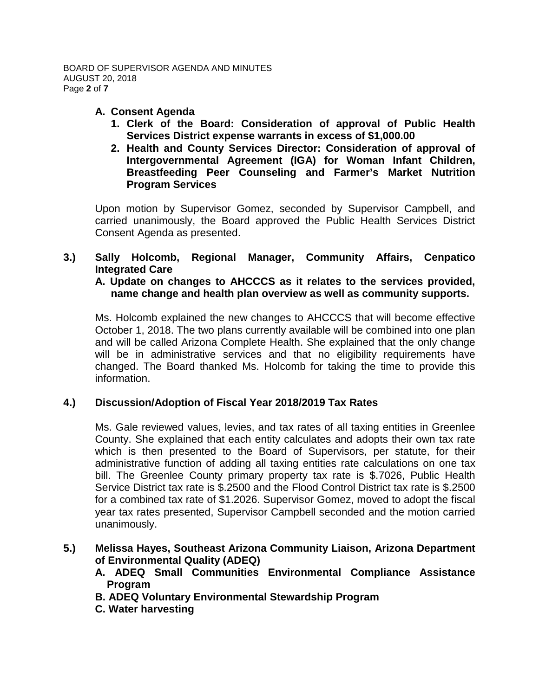## **A. Consent Agenda**

- **1. Clerk of the Board: Consideration of approval of Public Health Services District expense warrants in excess of \$1,000.00**
- **2. Health and County Services Director: Consideration of approval of Intergovernmental Agreement (IGA) for Woman Infant Children, Breastfeeding Peer Counseling and Farmer's Market Nutrition Program Services**

Upon motion by Supervisor Gomez, seconded by Supervisor Campbell, and carried unanimously, the Board approved the Public Health Services District Consent Agenda as presented.

# **3.) Sally Holcomb, Regional Manager, Community Affairs, Cenpatico Integrated Care**

**A. Update on changes to AHCCCS as it relates to the services provided, name change and health plan overview as well as community supports.**

Ms. Holcomb explained the new changes to AHCCCS that will become effective October 1, 2018. The two plans currently available will be combined into one plan and will be called Arizona Complete Health. She explained that the only change will be in administrative services and that no eligibility requirements have changed. The Board thanked Ms. Holcomb for taking the time to provide this information.

# **4.) Discussion/Adoption of Fiscal Year 2018/2019 Tax Rates**

Ms. Gale reviewed values, levies, and tax rates of all taxing entities in Greenlee County. She explained that each entity calculates and adopts their own tax rate which is then presented to the Board of Supervisors, per statute, for their administrative function of adding all taxing entities rate calculations on one tax bill. The Greenlee County primary property tax rate is \$.7026, Public Health Service District tax rate is \$.2500 and the Flood Control District tax rate is \$.2500 for a combined tax rate of \$1.2026. Supervisor Gomez, moved to adopt the fiscal year tax rates presented, Supervisor Campbell seconded and the motion carried unanimously.

#### **5.) Melissa Hayes, Southeast Arizona Community Liaison, Arizona Department of Environmental Quality (ADEQ)**

- **A. ADEQ Small Communities Environmental Compliance Assistance Program**
- **B. ADEQ Voluntary Environmental Stewardship Program**
- **C. Water harvesting**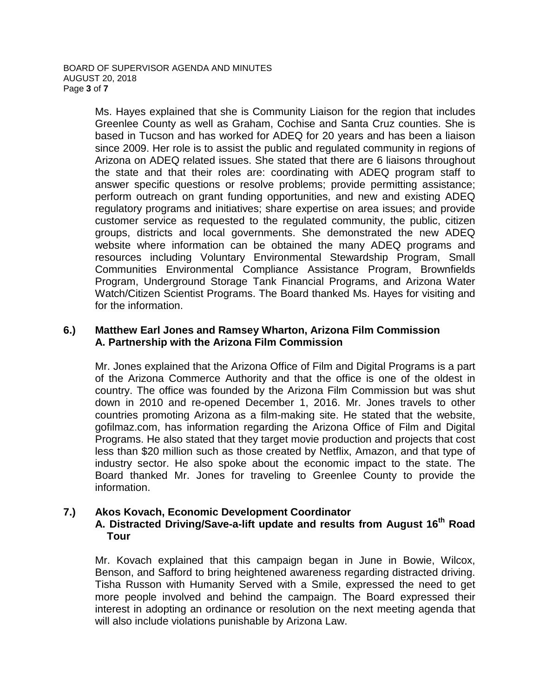Ms. Hayes explained that she is Community Liaison for the region that includes Greenlee County as well as Graham, Cochise and Santa Cruz counties. She is based in Tucson and has worked for ADEQ for 20 years and has been a liaison since 2009. Her role is to assist the public and regulated community in regions of Arizona on ADEQ related issues. She stated that there are 6 liaisons throughout the state and that their roles are: coordinating with ADEQ program staff to answer specific questions or resolve problems; provide permitting assistance; perform outreach on grant funding opportunities, and new and existing ADEQ regulatory programs and initiatives; share expertise on area issues; and provide customer service as requested to the regulated community, the public, citizen groups, districts and local governments. She demonstrated the new ADEQ website where information can be obtained the many ADEQ programs and resources including Voluntary Environmental Stewardship Program, Small Communities Environmental Compliance Assistance Program, Brownfields Program, Underground Storage Tank Financial Programs, and Arizona Water Watch/Citizen Scientist Programs. The Board thanked Ms. Hayes for visiting and for the information.

#### **6.) Matthew Earl Jones and Ramsey Wharton, Arizona Film Commission A. Partnership with the Arizona Film Commission**

Mr. Jones explained that the Arizona Office of Film and Digital Programs is a part of the Arizona Commerce Authority and that the office is one of the oldest in country. The office was founded by the Arizona Film Commission but was shut down in 2010 and re-opened December 1, 2016. Mr. Jones travels to other countries promoting Arizona as a film-making site. He stated that the website, gofilmaz.com, has information regarding the Arizona Office of Film and Digital Programs. He also stated that they target movie production and projects that cost less than \$20 million such as those created by Netflix, Amazon, and that type of industry sector. He also spoke about the economic impact to the state. The Board thanked Mr. Jones for traveling to Greenlee County to provide the information.

#### **7.) Akos Kovach, Economic Development Coordinator**

## **A. Distracted Driving/Save-a-lift update and results from August 16th Road Tour**

Mr. Kovach explained that this campaign began in June in Bowie, Wilcox, Benson, and Safford to bring heightened awareness regarding distracted driving. Tisha Russon with Humanity Served with a Smile, expressed the need to get more people involved and behind the campaign. The Board expressed their interest in adopting an ordinance or resolution on the next meeting agenda that will also include violations punishable by Arizona Law.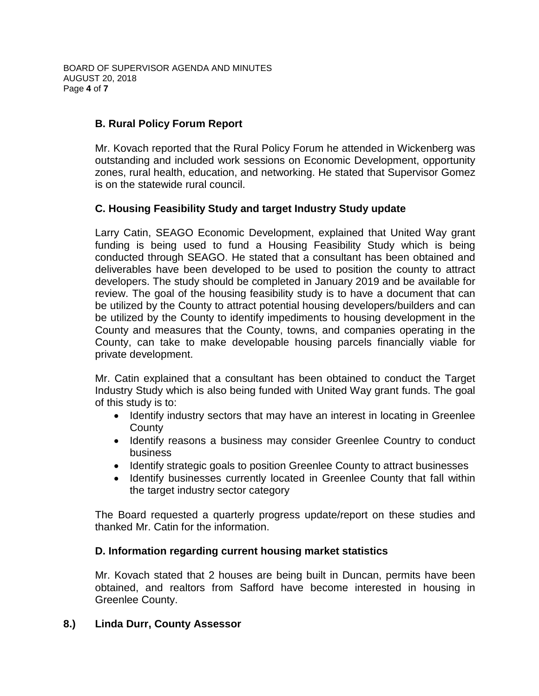# **B. Rural Policy Forum Report**

Mr. Kovach reported that the Rural Policy Forum he attended in Wickenberg was outstanding and included work sessions on Economic Development, opportunity zones, rural health, education, and networking. He stated that Supervisor Gomez is on the statewide rural council.

# **C. Housing Feasibility Study and target Industry Study update**

Larry Catin, SEAGO Economic Development, explained that United Way grant funding is being used to fund a Housing Feasibility Study which is being conducted through SEAGO. He stated that a consultant has been obtained and deliverables have been developed to be used to position the county to attract developers. The study should be completed in January 2019 and be available for review. The goal of the housing feasibility study is to have a document that can be utilized by the County to attract potential housing developers/builders and can be utilized by the County to identify impediments to housing development in the County and measures that the County, towns, and companies operating in the County, can take to make developable housing parcels financially viable for private development.

Mr. Catin explained that a consultant has been obtained to conduct the Target Industry Study which is also being funded with United Way grant funds. The goal of this study is to:

- Identify industry sectors that may have an interest in locating in Greenlee **County**
- Identify reasons a business may consider Greenlee Country to conduct business
- Identify strategic goals to position Greenlee County to attract businesses
- Identify businesses currently located in Greenlee County that fall within the target industry sector category

The Board requested a quarterly progress update/report on these studies and thanked Mr. Catin for the information.

#### **D. Information regarding current housing market statistics**

Mr. Kovach stated that 2 houses are being built in Duncan, permits have been obtained, and realtors from Safford have become interested in housing in Greenlee County.

#### **8.) Linda Durr, County Assessor**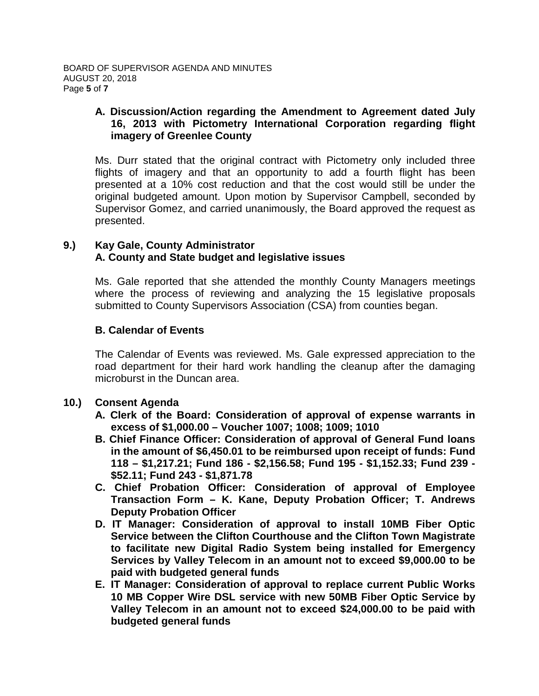#### **A. Discussion/Action regarding the Amendment to Agreement dated July 16, 2013 with Pictometry International Corporation regarding flight imagery of Greenlee County**

Ms. Durr stated that the original contract with Pictometry only included three flights of imagery and that an opportunity to add a fourth flight has been presented at a 10% cost reduction and that the cost would still be under the original budgeted amount. Upon motion by Supervisor Campbell, seconded by Supervisor Gomez, and carried unanimously, the Board approved the request as presented.

# **9.) Kay Gale, County Administrator A. County and State budget and legislative issues**

Ms. Gale reported that she attended the monthly County Managers meetings where the process of reviewing and analyzing the 15 legislative proposals submitted to County Supervisors Association (CSA) from counties began.

# **B. Calendar of Events**

The Calendar of Events was reviewed. Ms. Gale expressed appreciation to the road department for their hard work handling the cleanup after the damaging microburst in the Duncan area.

# **10.) Consent Agenda**

- **A. Clerk of the Board: Consideration of approval of expense warrants in excess of \$1,000.00 – Voucher 1007; 1008; 1009; 1010**
- **B. Chief Finance Officer: Consideration of approval of General Fund loans in the amount of \$6,450.01 to be reimbursed upon receipt of funds: Fund 118 – \$1,217.21; Fund 186 - \$2,156.58; Fund 195 - \$1,152.33; Fund 239 - \$52.11; Fund 243 - \$1,871.78**
- **C. Chief Probation Officer: Consideration of approval of Employee Transaction Form – K. Kane, Deputy Probation Officer; T. Andrews Deputy Probation Officer**
- **D. IT Manager: Consideration of approval to install 10MB Fiber Optic Service between the Clifton Courthouse and the Clifton Town Magistrate to facilitate new Digital Radio System being installed for Emergency Services by Valley Telecom in an amount not to exceed \$9,000.00 to be paid with budgeted general funds**
- **E. IT Manager: Consideration of approval to replace current Public Works 10 MB Copper Wire DSL service with new 50MB Fiber Optic Service by Valley Telecom in an amount not to exceed \$24,000.00 to be paid with budgeted general funds**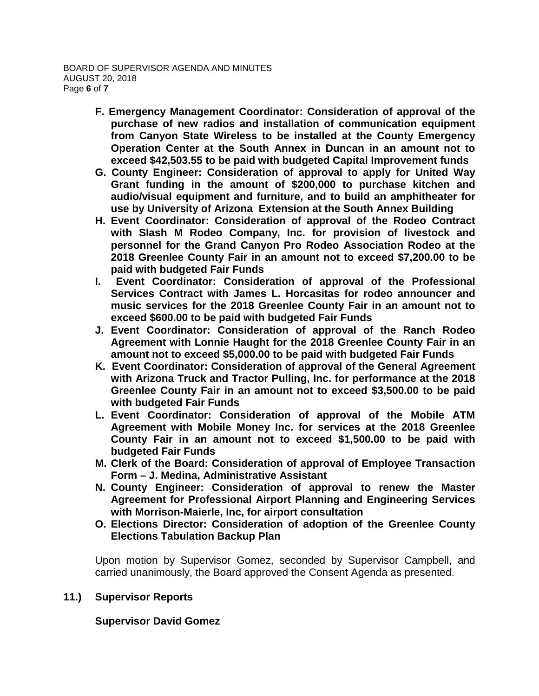- **F. Emergency Management Coordinator: Consideration of approval of the purchase of new radios and installation of communication equipment from Canyon State Wireless to be installed at the County Emergency Operation Center at the South Annex in Duncan in an amount not to exceed \$42,503.55 to be paid with budgeted Capital Improvement funds**
- **G. County Engineer: Consideration of approval to apply for United Way Grant funding in the amount of \$200,000 to purchase kitchen and audio/visual equipment and furniture, and to build an amphitheater for use by University of Arizona Extension at the South Annex Building**
- **H. Event Coordinator: Consideration of approval of the Rodeo Contract with Slash M Rodeo Company, Inc. for provision of livestock and personnel for the Grand Canyon Pro Rodeo Association Rodeo at the 2018 Greenlee County Fair in an amount not to exceed \$7,200.00 to be paid with budgeted Fair Funds**
- **I. Event Coordinator: Consideration of approval of the Professional Services Contract with James L. Horcasitas for rodeo announcer and music services for the 2018 Greenlee County Fair in an amount not to exceed \$600.00 to be paid with budgeted Fair Funds**
- **J. Event Coordinator: Consideration of approval of the Ranch Rodeo Agreement with Lonnie Haught for the 2018 Greenlee County Fair in an amount not to exceed \$5,000.00 to be paid with budgeted Fair Funds**
- **K. Event Coordinator: Consideration of approval of the General Agreement with Arizona Truck and Tractor Pulling, Inc. for performance at the 2018 Greenlee County Fair in an amount not to exceed \$3,500.00 to be paid with budgeted Fair Funds**
- **L. Event Coordinator: Consideration of approval of the Mobile ATM Agreement with Mobile Money Inc. for services at the 2018 Greenlee County Fair in an amount not to exceed \$1,500.00 to be paid with budgeted Fair Funds**
- **M. Clerk of the Board: Consideration of approval of Employee Transaction Form – J. Medina, Administrative Assistant**
- **N. County Engineer: Consideration of approval to renew the Master Agreement for Professional Airport Planning and Engineering Services with Morrison-Maierle, Inc, for airport consultation**
- **O. Elections Director: Consideration of adoption of the Greenlee County Elections Tabulation Backup Plan**

Upon motion by Supervisor Gomez, seconded by Supervisor Campbell, and carried unanimously, the Board approved the Consent Agenda as presented.

#### **11.) Supervisor Reports**

**Supervisor David Gomez**